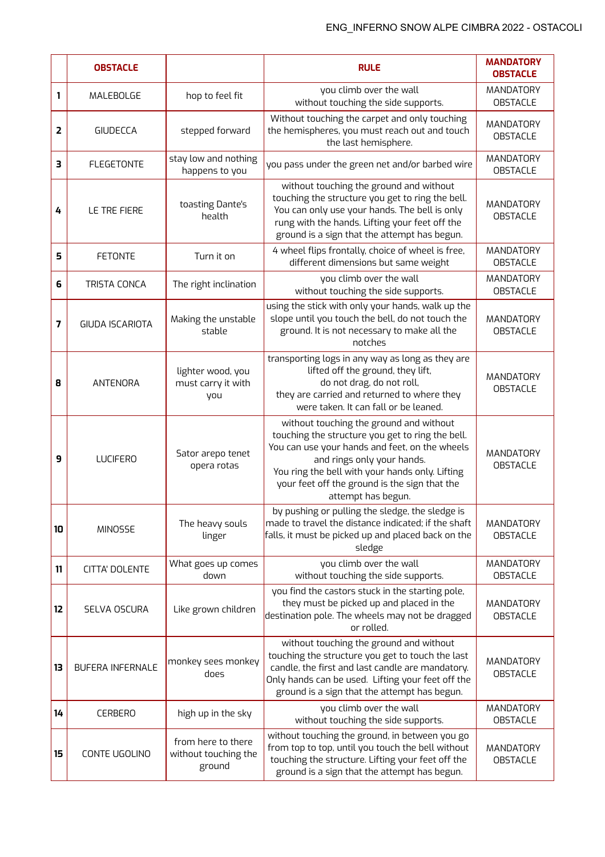|                         | <b>OBSTACLE</b>        |                                                      | <b>RULE</b>                                                                                                                                                                                                                                                                                           | <b>MANDATORY</b><br><b>OBSTACLE</b> |
|-------------------------|------------------------|------------------------------------------------------|-------------------------------------------------------------------------------------------------------------------------------------------------------------------------------------------------------------------------------------------------------------------------------------------------------|-------------------------------------|
| 1                       | MALEBOLGE              | hop to feel fit                                      | you climb over the wall<br>without touching the side supports.                                                                                                                                                                                                                                        | MANDATORY<br><b>OBSTACLE</b>        |
| $\overline{\mathbf{2}}$ | <b>GIUDECCA</b>        | stepped forward                                      | Without touching the carpet and only touching<br>the hemispheres, you must reach out and touch<br>the last hemisphere.                                                                                                                                                                                | MANDATORY<br><b>OBSTACLE</b>        |
| З                       | <b>FLEGETONTE</b>      | stay low and nothing<br>happens to you               | you pass under the green net and/or barbed wire                                                                                                                                                                                                                                                       | MANDATORY<br><b>OBSTACLE</b>        |
| 4                       | LE TRE FIERE           | toasting Dante's<br>health                           | without touching the ground and without<br>touching the structure you get to ring the bell.<br>You can only use your hands. The bell is only<br>rung with the hands. Lifting your feet off the<br>ground is a sign that the attempt has begun.                                                        | MANDATORY<br><b>OBSTACLE</b>        |
| 5                       | <b>FETONTE</b>         | Turn it on                                           | 4 wheel flips frontally, choice of wheel is free,<br>different dimensions but same weight                                                                                                                                                                                                             | MANDATORY<br><b>OBSTACLE</b>        |
| 6                       | TRISTA CONCA           | The right inclination                                | you climb over the wall<br>without touching the side supports.                                                                                                                                                                                                                                        | MANDATORY<br><b>OBSTACLE</b>        |
| 7                       | <b>GIUDA ISCARIOTA</b> | Making the unstable<br>stable                        | using the stick with only your hands, walk up the<br>slope until you touch the bell, do not touch the<br>ground. It is not necessary to make all the<br>notches                                                                                                                                       | MANDATORY<br><b>OBSTACLE</b>        |
| 8                       | ANTENORA               | lighter wood, you<br>must carry it with<br>you       | transporting logs in any way as long as they are<br>lifted off the ground, they lift,<br>do not drag, do not roll,<br>they are carried and returned to where they<br>were taken. It can fall or be leaned.                                                                                            | MANDATORY<br><b>OBSTACLE</b>        |
| 9                       | <b>LUCIFERO</b>        | Sator arepo tenet<br>opera rotas                     | without touching the ground and without<br>touching the structure you get to ring the bell.<br>You can use your hands and feet, on the wheels<br>and rings only your hands.<br>You ring the bell with your hands only. Lifting<br>your feet off the ground is the sign that the<br>attempt has begun. | MANDATORY<br><b>OBSTACLE</b>        |
| 10                      | <b>MINOSSE</b>         | The heavy souls<br>linger                            | by pushing or pulling the sledge, the sledge is<br>made to travel the distance indicated; if the shaft<br>falls, it must be picked up and placed back on the<br>sledge                                                                                                                                | MANDATORY<br><b>OBSTACLE</b>        |
| 11                      | <b>CITTA' DOLENTE</b>  | What goes up comes<br>down                           | you climb over the wall<br>without touching the side supports.                                                                                                                                                                                                                                        | MANDATORY<br><b>OBSTACLE</b>        |
| 12                      | SELVA OSCURA           | Like grown children                                  | you find the castors stuck in the starting pole,<br>they must be picked up and placed in the<br>destination pole. The wheels may not be dragged<br>or rolled.                                                                                                                                         | MANDATORY<br><b>OBSTACLE</b>        |
| 13                      | BUFERA INFERNALE       | monkey sees monkey<br>does                           | without touching the ground and without<br>touching the structure you get to touch the last<br>candle, the first and last candle are mandatory.<br>Only hands can be used. Lifting your feet off the<br>ground is a sign that the attempt has begun.                                                  | MANDATORY<br><b>OBSTACLE</b>        |
| 14                      | <b>CERBERO</b>         | high up in the sky                                   | you climb over the wall<br>without touching the side supports.                                                                                                                                                                                                                                        | MANDATORY<br><b>OBSTACLE</b>        |
| 15                      | CONTE UGOLINO          | from here to there<br>without touching the<br>ground | without touching the ground, in between you go<br>from top to top, until you touch the bell without<br>touching the structure. Lifting your feet off the<br>ground is a sign that the attempt has begun.                                                                                              | MANDATORY<br><b>OBSTACLE</b>        |